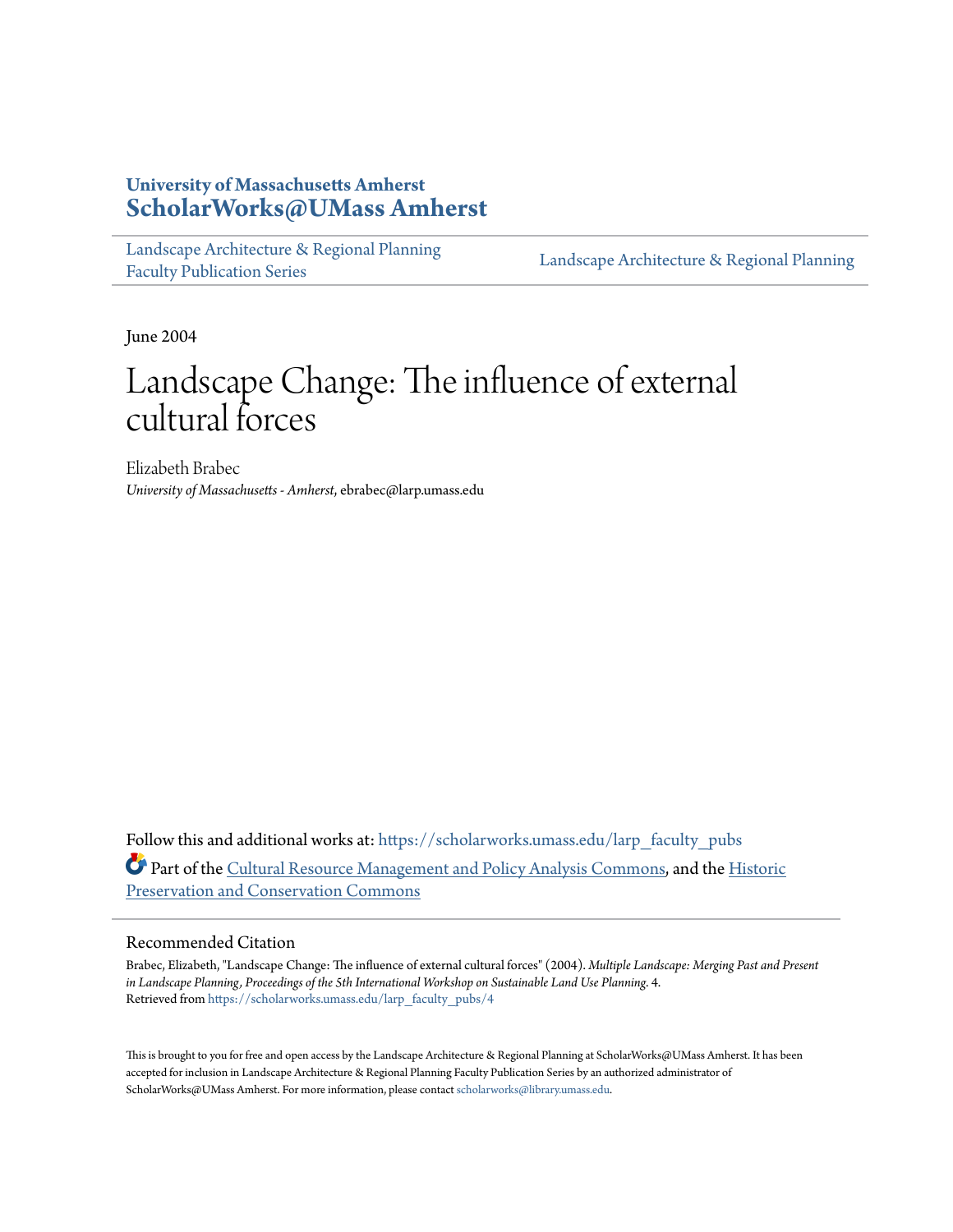### **University of Massachusetts Amherst [ScholarWorks@UMass Amherst](https://scholarworks.umass.edu?utm_source=scholarworks.umass.edu%2Flarp_faculty_pubs%2F4&utm_medium=PDF&utm_campaign=PDFCoverPages)**

[Landscape Architecture & Regional Planning](https://scholarworks.umass.edu/larp_faculty_pubs?utm_source=scholarworks.umass.edu%2Flarp_faculty_pubs%2F4&utm_medium=PDF&utm_campaign=PDFCoverPages) [Faculty Publication Series](https://scholarworks.umass.edu/larp_faculty_pubs?utm_source=scholarworks.umass.edu%2Flarp_faculty_pubs%2F4&utm_medium=PDF&utm_campaign=PDFCoverPages)

[Landscape Architecture & Regional Planning](https://scholarworks.umass.edu/larp?utm_source=scholarworks.umass.edu%2Flarp_faculty_pubs%2F4&utm_medium=PDF&utm_campaign=PDFCoverPages)

June 2004

# Landscape Change: The influence of external cultural forces

Elizabeth Brabec *University of Massachusetts - Amherst*, ebrabec@larp.umass.edu

Follow this and additional works at: [https://scholarworks.umass.edu/larp\\_faculty\\_pubs](https://scholarworks.umass.edu/larp_faculty_pubs?utm_source=scholarworks.umass.edu%2Flarp_faculty_pubs%2F4&utm_medium=PDF&utm_campaign=PDFCoverPages) Part of the [Cultural Resource Management and Policy Analysis Commons,](http://network.bepress.com/hgg/discipline/782?utm_source=scholarworks.umass.edu%2Flarp_faculty_pubs%2F4&utm_medium=PDF&utm_campaign=PDFCoverPages) and the [Historic](http://network.bepress.com/hgg/discipline/781?utm_source=scholarworks.umass.edu%2Flarp_faculty_pubs%2F4&utm_medium=PDF&utm_campaign=PDFCoverPages) [Preservation and Conservation Commons](http://network.bepress.com/hgg/discipline/781?utm_source=scholarworks.umass.edu%2Flarp_faculty_pubs%2F4&utm_medium=PDF&utm_campaign=PDFCoverPages)

#### Recommended Citation

Brabec, Elizabeth, "Landscape Change: The influence of external cultural forces" (2004). *Multiple Landscape: Merging Past and Present in Landscape Planning, Proceedings of the 5th International Workshop on Sustainable Land Use Planning*. 4. Retrieved from [https://scholarworks.umass.edu/larp\\_faculty\\_pubs/4](https://scholarworks.umass.edu/larp_faculty_pubs/4?utm_source=scholarworks.umass.edu%2Flarp_faculty_pubs%2F4&utm_medium=PDF&utm_campaign=PDFCoverPages)

This is brought to you for free and open access by the Landscape Architecture & Regional Planning at ScholarWorks@UMass Amherst. It has been accepted for inclusion in Landscape Architecture & Regional Planning Faculty Publication Series by an authorized administrator of ScholarWorks@UMass Amherst. For more information, please contact [scholarworks@library.umass.edu.](mailto:scholarworks@library.umass.edu)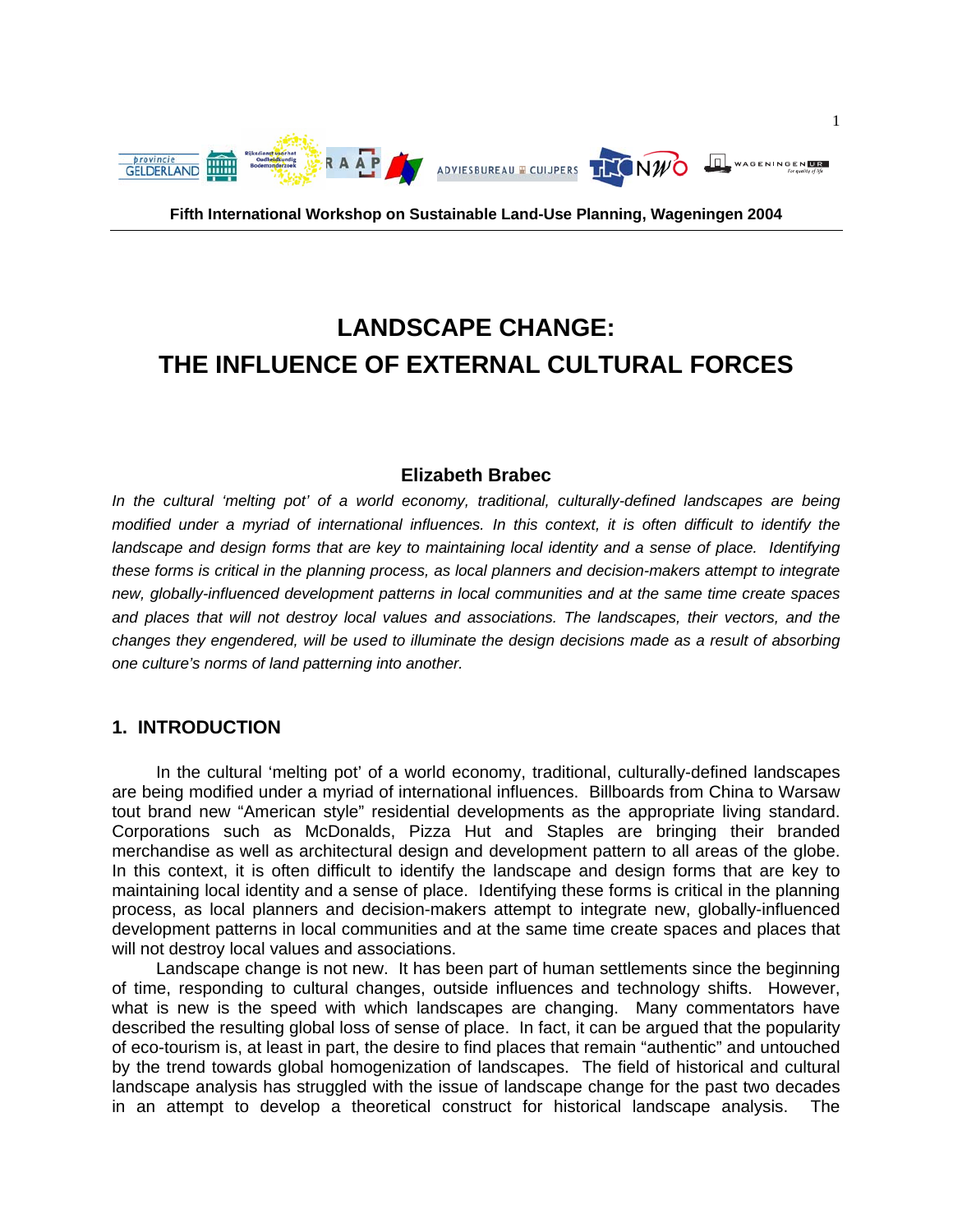

**Fifth International Workshop on Sustainable Land-Use Planning, Wageningen 2004** 

## **LANDSCAPE CHANGE: THE INFLUENCE OF EXTERNAL CULTURAL FORCES**

#### **Elizabeth Brabec**

*In the cultural 'melting pot' of a world economy, traditional, culturally-defined landscapes are being modified under a myriad of international influences. In this context, it is often difficult to identify the*  landscape and design forms that are key to maintaining local identity and a sense of place. Identifying *these forms is critical in the planning process, as local planners and decision-makers attempt to integrate new, globally-influenced development patterns in local communities and at the same time create spaces and places that will not destroy local values and associations. The landscapes, their vectors, and the changes they engendered, will be used to illuminate the design decisions made as a result of absorbing one culture's norms of land patterning into another.* 

#### **1. INTRODUCTION**

 In the cultural 'melting pot' of a world economy, traditional, culturally-defined landscapes are being modified under a myriad of international influences. Billboards from China to Warsaw tout brand new "American style" residential developments as the appropriate living standard. Corporations such as McDonalds, Pizza Hut and Staples are bringing their branded merchandise as well as architectural design and development pattern to all areas of the globe. In this context, it is often difficult to identify the landscape and design forms that are key to maintaining local identity and a sense of place. Identifying these forms is critical in the planning process, as local planners and decision-makers attempt to integrate new, globally-influenced development patterns in local communities and at the same time create spaces and places that will not destroy local values and associations.

 Landscape change is not new. It has been part of human settlements since the beginning of time, responding to cultural changes, outside influences and technology shifts. However, what is new is the speed with which landscapes are changing. Many commentators have described the resulting global loss of sense of place. In fact, it can be argued that the popularity of eco-tourism is, at least in part, the desire to find places that remain "authentic" and untouched by the trend towards global homogenization of landscapes. The field of historical and cultural landscape analysis has struggled with the issue of landscape change for the past two decades in an attempt to develop a theoretical construct for historical landscape analysis. The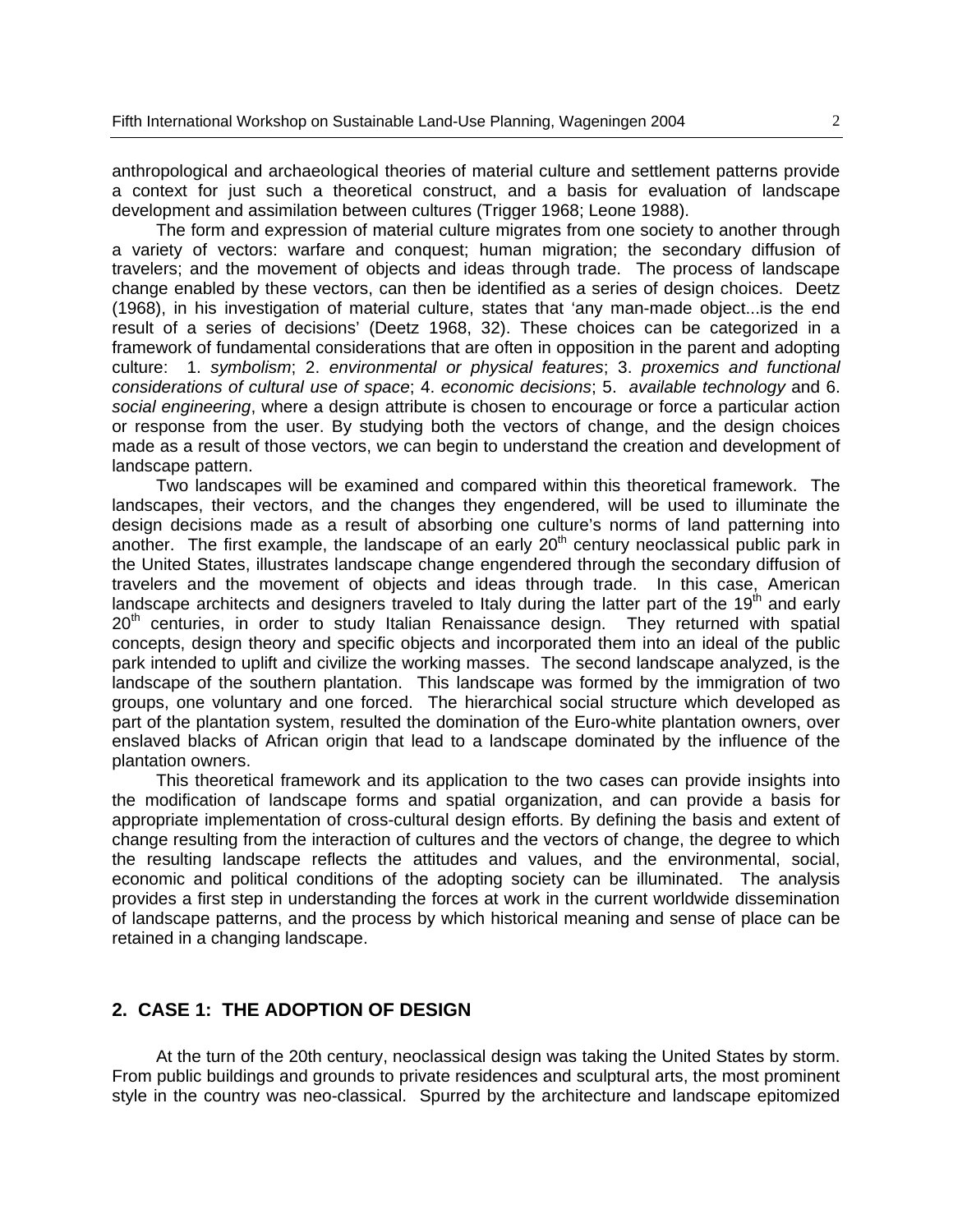anthropological and archaeological theories of material culture and settlement patterns provide a context for just such a theoretical construct, and a basis for evaluation of landscape development and assimilation between cultures (Trigger 1968; Leone 1988).

 The form and expression of material culture migrates from one society to another through a variety of vectors: warfare and conquest; human migration; the secondary diffusion of travelers; and the movement of objects and ideas through trade. The process of landscape change enabled by these vectors, can then be identified as a series of design choices. Deetz (1968), in his investigation of material culture, states that 'any man-made object...is the end result of a series of decisions' (Deetz 1968, 32). These choices can be categorized in a framework of fundamental considerations that are often in opposition in the parent and adopting culture: 1. *symbolism*; 2. *environmental or physical features*; 3. *proxemics and functional considerations of cultural use of space*; 4. *economic decisions*; 5. *available technology* and 6. *social engineering*, where a design attribute is chosen to encourage or force a particular action or response from the user. By studying both the vectors of change, and the design choices made as a result of those vectors, we can begin to understand the creation and development of landscape pattern.

 Two landscapes will be examined and compared within this theoretical framework. The landscapes, their vectors, and the changes they engendered, will be used to illuminate the design decisions made as a result of absorbing one culture's norms of land patterning into another. The first example, the landscape of an early  $20<sup>th</sup>$  century neoclassical public park in the United States, illustrates landscape change engendered through the secondary diffusion of travelers and the movement of objects and ideas through trade. In this case, American landscape architects and designers traveled to Italy during the latter part of the 19<sup>th</sup> and early  $20<sup>th</sup>$  centuries, in order to study Italian Renaissance design. They returned with spatial concepts, design theory and specific objects and incorporated them into an ideal of the public park intended to uplift and civilize the working masses. The second landscape analyzed, is the landscape of the southern plantation. This landscape was formed by the immigration of two groups, one voluntary and one forced. The hierarchical social structure which developed as part of the plantation system, resulted the domination of the Euro-white plantation owners, over enslaved blacks of African origin that lead to a landscape dominated by the influence of the plantation owners.

 This theoretical framework and its application to the two cases can provide insights into the modification of landscape forms and spatial organization, and can provide a basis for appropriate implementation of cross-cultural design efforts. By defining the basis and extent of change resulting from the interaction of cultures and the vectors of change, the degree to which the resulting landscape reflects the attitudes and values, and the environmental, social, economic and political conditions of the adopting society can be illuminated. The analysis provides a first step in understanding the forces at work in the current worldwide dissemination of landscape patterns, and the process by which historical meaning and sense of place can be retained in a changing landscape.

#### **2. CASE 1: THE ADOPTION OF DESIGN**

 At the turn of the 20th century, neoclassical design was taking the United States by storm. From public buildings and grounds to private residences and sculptural arts, the most prominent style in the country was neo-classical. Spurred by the architecture and landscape epitomized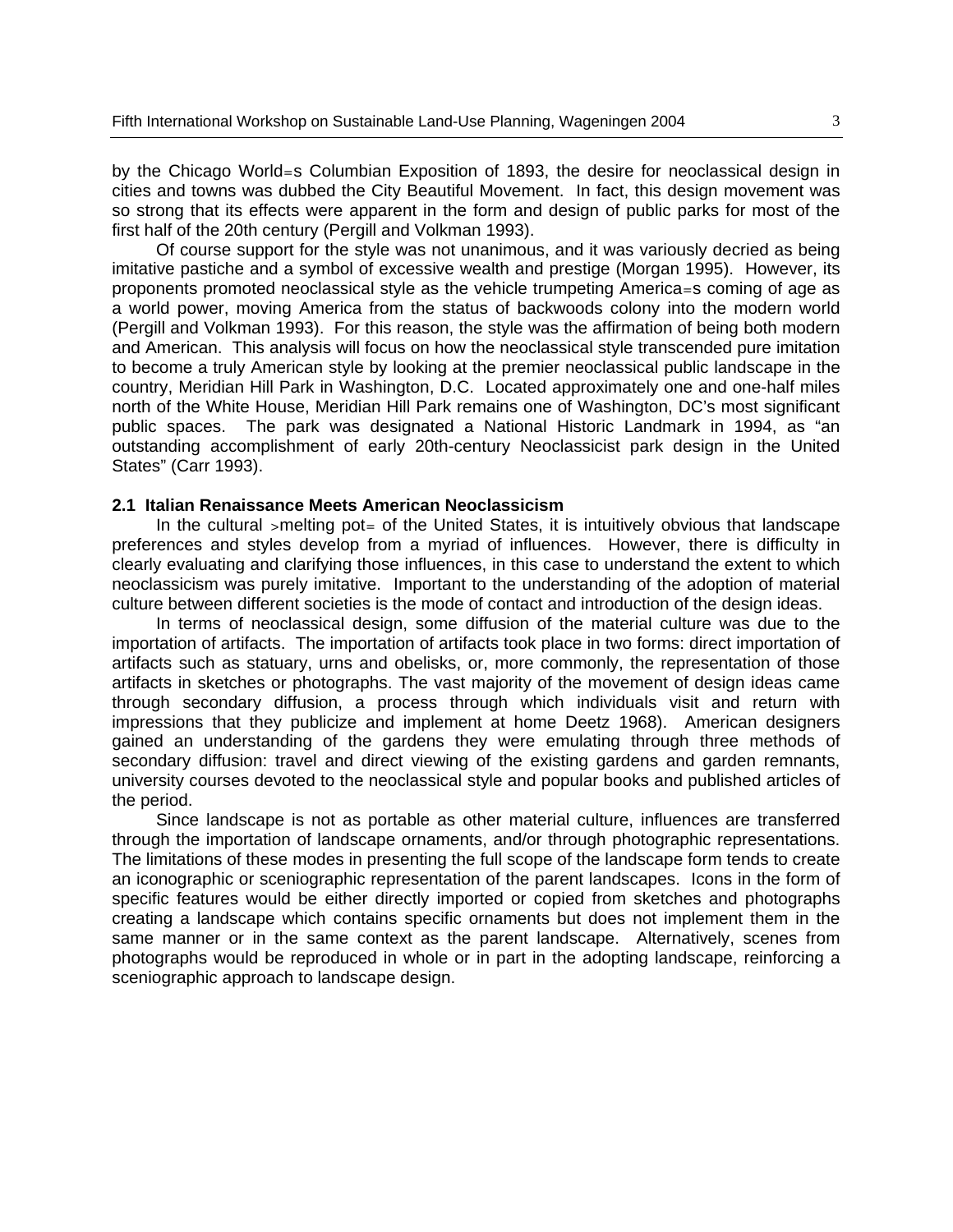by the Chicago World=s Columbian Exposition of 1893, the desire for neoclassical design in cities and towns was dubbed the City Beautiful Movement. In fact, this design movement was so strong that its effects were apparent in the form and design of public parks for most of the first half of the 20th century (Pergill and Volkman 1993).

 Of course support for the style was not unanimous, and it was variously decried as being imitative pastiche and a symbol of excessive wealth and prestige (Morgan 1995). However, its proponents promoted neoclassical style as the vehicle trumpeting America=s coming of age as a world power, moving America from the status of backwoods colony into the modern world (Pergill and Volkman 1993). For this reason, the style was the affirmation of being both modern and American. This analysis will focus on how the neoclassical style transcended pure imitation to become a truly American style by looking at the premier neoclassical public landscape in the country, Meridian Hill Park in Washington, D.C. Located approximately one and one-half miles north of the White House, Meridian Hill Park remains one of Washington, DC's most significant public spaces. The park was designated a National Historic Landmark in 1994, as "an outstanding accomplishment of early 20th-century Neoclassicist park design in the United States" (Carr 1993).

#### **2.1 Italian Renaissance Meets American Neoclassicism**

In the cultural  $\rightarrow$ melting pot= of the United States, it is intuitively obvious that landscape preferences and styles develop from a myriad of influences. However, there is difficulty in clearly evaluating and clarifying those influences, in this case to understand the extent to which neoclassicism was purely imitative. Important to the understanding of the adoption of material culture between different societies is the mode of contact and introduction of the design ideas.

 In terms of neoclassical design, some diffusion of the material culture was due to the importation of artifacts. The importation of artifacts took place in two forms: direct importation of artifacts such as statuary, urns and obelisks, or, more commonly, the representation of those artifacts in sketches or photographs. The vast majority of the movement of design ideas came through secondary diffusion, a process through which individuals visit and return with impressions that they publicize and implement at home Deetz 1968). American designers gained an understanding of the gardens they were emulating through three methods of secondary diffusion: travel and direct viewing of the existing gardens and garden remnants, university courses devoted to the neoclassical style and popular books and published articles of the period.

 Since landscape is not as portable as other material culture, influences are transferred through the importation of landscape ornaments, and/or through photographic representations. The limitations of these modes in presenting the full scope of the landscape form tends to create an iconographic or sceniographic representation of the parent landscapes. Icons in the form of specific features would be either directly imported or copied from sketches and photographs creating a landscape which contains specific ornaments but does not implement them in the same manner or in the same context as the parent landscape. Alternatively, scenes from photographs would be reproduced in whole or in part in the adopting landscape, reinforcing a sceniographic approach to landscape design.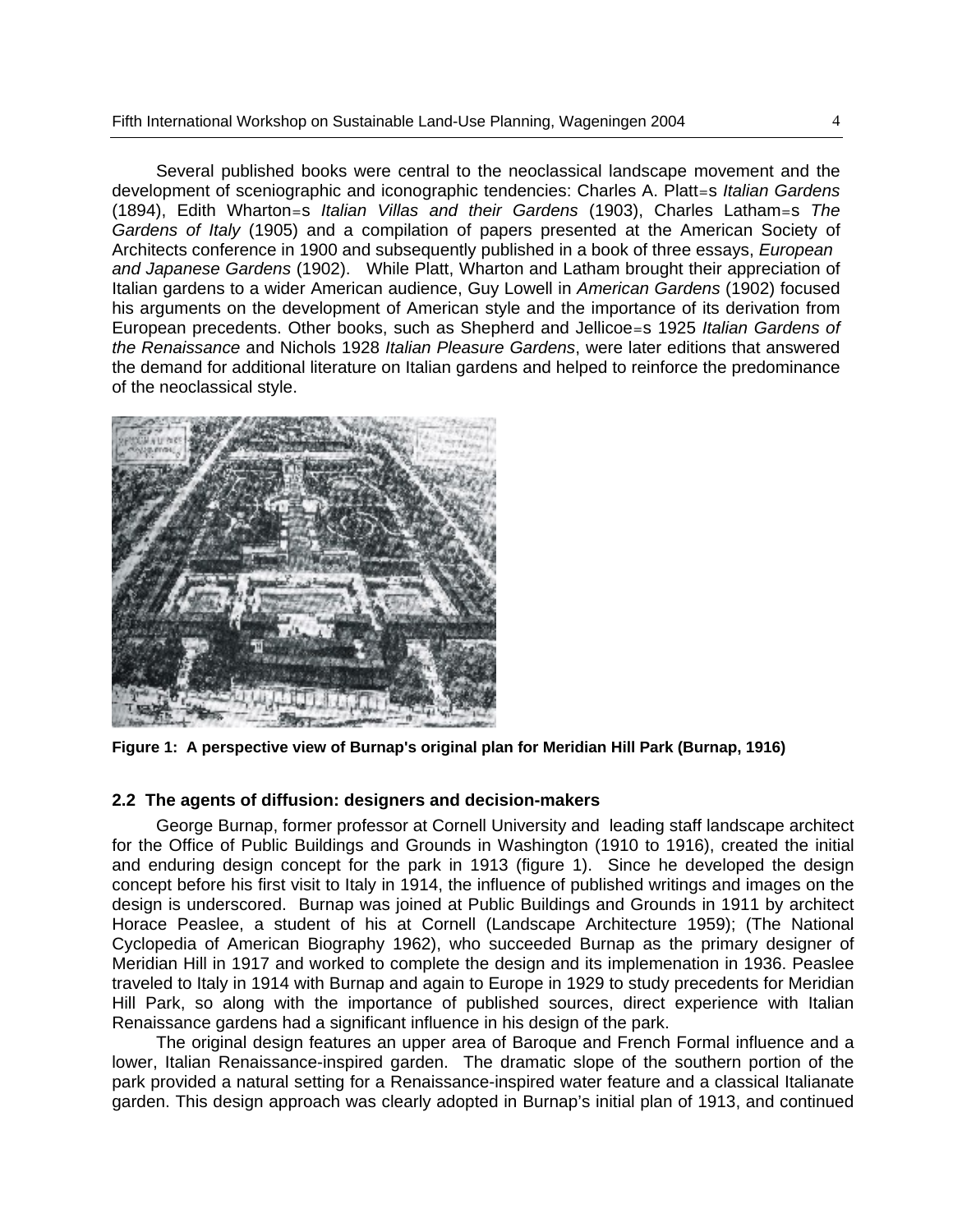Several published books were central to the neoclassical landscape movement and the development of sceniographic and iconographic tendencies: Charles A. Platt=s *Italian Gardens* (1894), Edith Wharton=s *Italian Villas and their Gardens* (1903), Charles Latham=s *The Gardens of Italy* (1905) and a compilation of papers presented at the American Society of Architects conference in 1900 and subsequently published in a book of three essays, *European and Japanese Gardens* (1902). While Platt, Wharton and Latham brought their appreciation of Italian gardens to a wider American audience, Guy Lowell in *American Gardens* (1902) focused his arguments on the development of American style and the importance of its derivation from European precedents. Other books, such as Shepherd and Jellicoe=s 1925 *Italian Gardens of the Renaissance* and Nichols 1928 *Italian Pleasure Gardens*, were later editions that answered the demand for additional literature on Italian gardens and helped to reinforce the predominance of the neoclassical style.



**Figure 1: A perspective view of Burnap's original plan for Meridian Hill Park (Burnap, 1916)** 

#### **2.2 The agents of diffusion: designers and decision-makers**

 George Burnap, former professor at Cornell University and leading staff landscape architect for the Office of Public Buildings and Grounds in Washington (1910 to 1916), created the initial and enduring design concept for the park in 1913 (figure 1). Since he developed the design concept before his first visit to Italy in 1914, the influence of published writings and images on the design is underscored. Burnap was joined at Public Buildings and Grounds in 1911 by architect Horace Peaslee, a student of his at Cornell (Landscape Architecture 1959); (The National Cyclopedia of American Biography 1962), who succeeded Burnap as the primary designer of Meridian Hill in 1917 and worked to complete the design and its implemenation in 1936. Peaslee traveled to Italy in 1914 with Burnap and again to Europe in 1929 to study precedents for Meridian Hill Park, so along with the importance of published sources, direct experience with Italian Renaissance gardens had a significant influence in his design of the park.

 The original design features an upper area of Baroque and French Formal influence and a lower, Italian Renaissance-inspired garden. The dramatic slope of the southern portion of the park provided a natural setting for a Renaissance-inspired water feature and a classical Italianate garden. This design approach was clearly adopted in Burnap's initial plan of 1913, and continued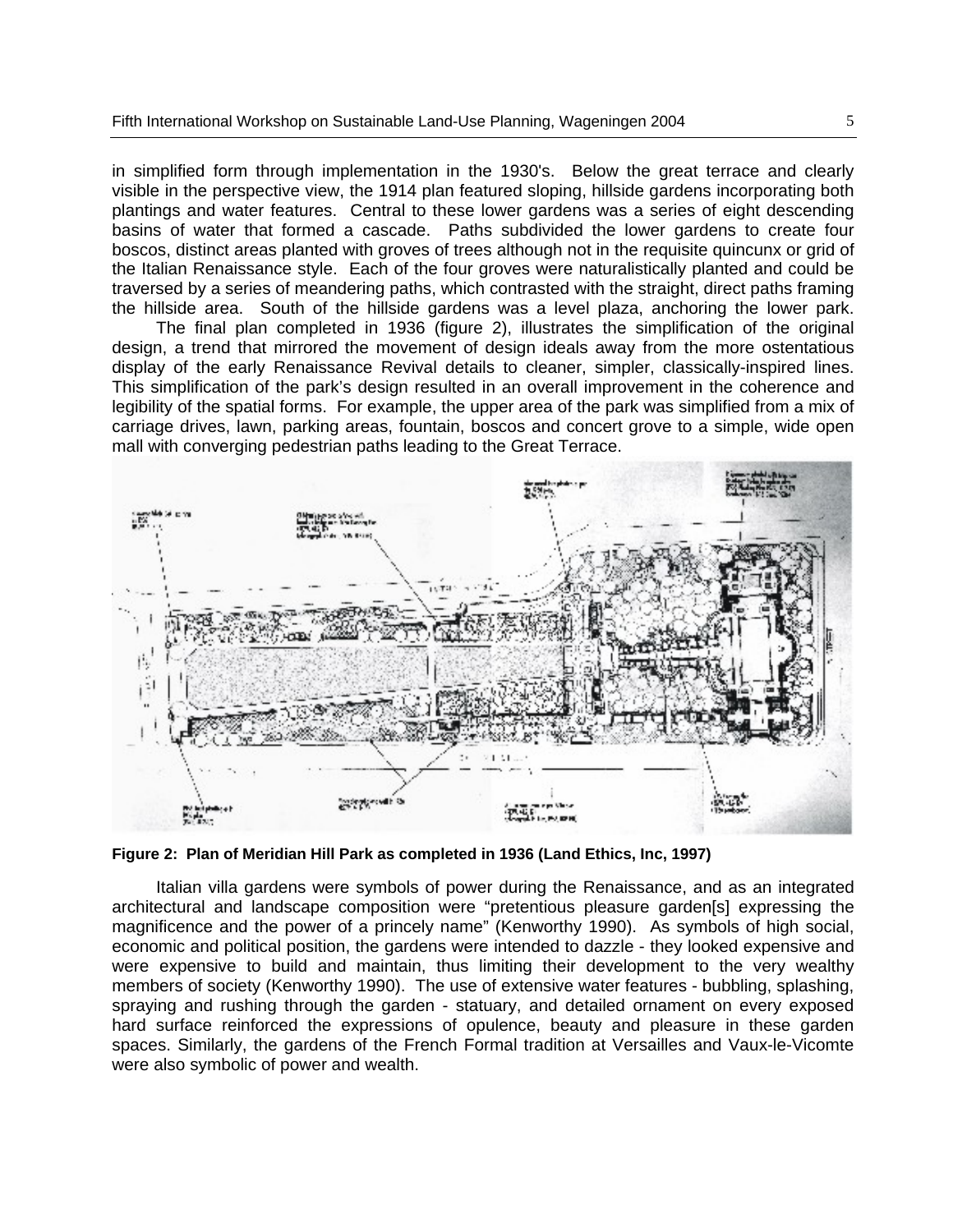in simplified form through implementation in the 1930's. Below the great terrace and clearly visible in the perspective view, the 1914 plan featured sloping, hillside gardens incorporating both plantings and water features. Central to these lower gardens was a series of eight descending basins of water that formed a cascade. Paths subdivided the lower gardens to create four boscos, distinct areas planted with groves of trees although not in the requisite quincunx or grid of the Italian Renaissance style. Each of the four groves were naturalistically planted and could be traversed by a series of meandering paths, which contrasted with the straight, direct paths framing the hillside area. South of the hillside gardens was a level plaza, anchoring the lower park.

 The final plan completed in 1936 (figure 2), illustrates the simplification of the original design, a trend that mirrored the movement of design ideals away from the more ostentatious display of the early Renaissance Revival details to cleaner, simpler, classically-inspired lines. This simplification of the park's design resulted in an overall improvement in the coherence and legibility of the spatial forms. For example, the upper area of the park was simplified from a mix of carriage drives, lawn, parking areas, fountain, boscos and concert grove to a simple, wide open mall with converging pedestrian paths leading to the Great Terrace.



**Figure 2: Plan of Meridian Hill Park as completed in 1936 (Land Ethics, Inc, 1997)**

 Italian villa gardens were symbols of power during the Renaissance, and as an integrated architectural and landscape composition were "pretentious pleasure garden[s] expressing the magnificence and the power of a princely name" (Kenworthy 1990). As symbols of high social, economic and political position, the gardens were intended to dazzle - they looked expensive and were expensive to build and maintain, thus limiting their development to the very wealthy members of society (Kenworthy 1990). The use of extensive water features - bubbling, splashing, spraying and rushing through the garden - statuary, and detailed ornament on every exposed hard surface reinforced the expressions of opulence, beauty and pleasure in these garden spaces. Similarly, the gardens of the French Formal tradition at Versailles and Vaux-le-Vicomte were also symbolic of power and wealth.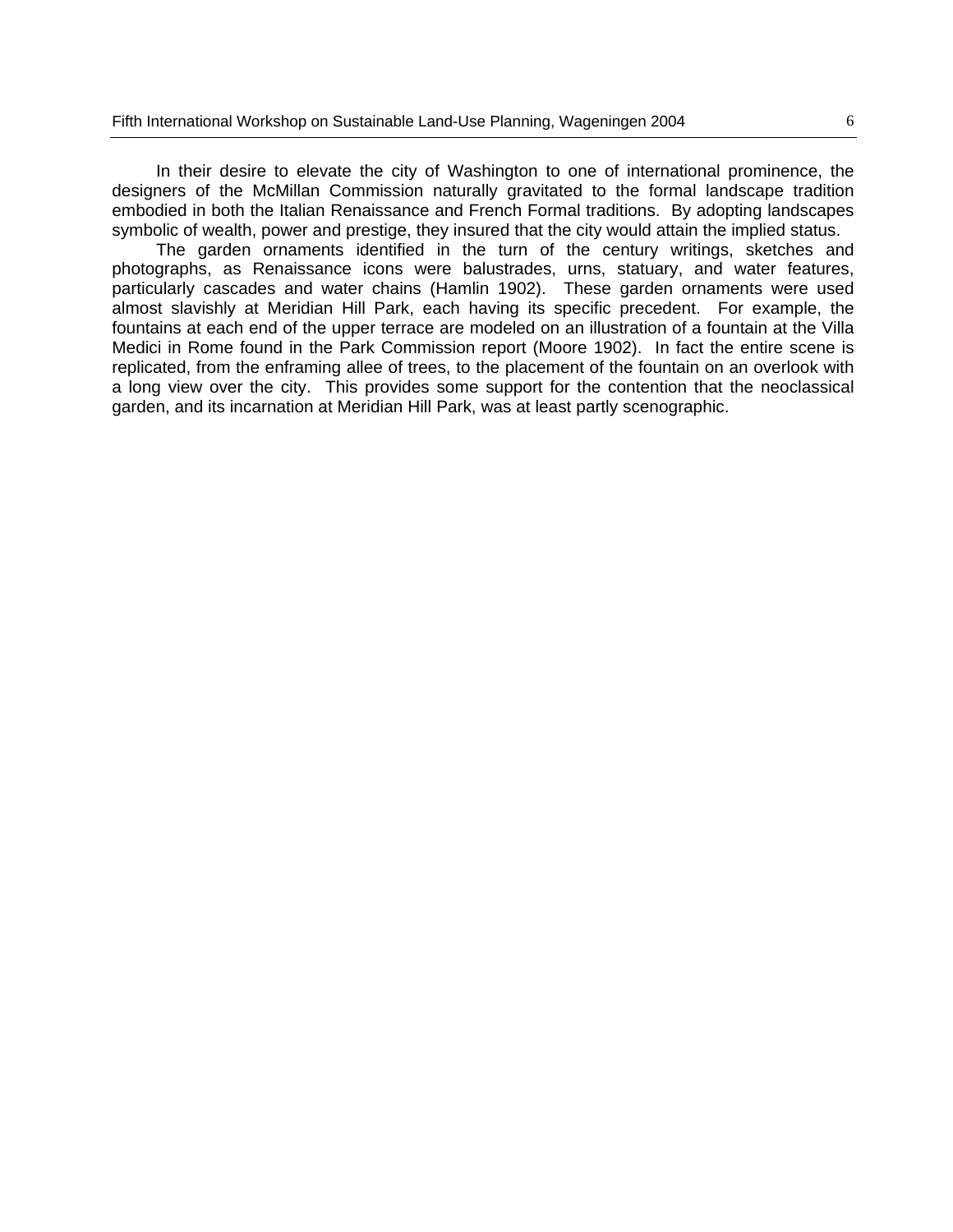In their desire to elevate the city of Washington to one of international prominence, the designers of the McMillan Commission naturally gravitated to the formal landscape tradition embodied in both the Italian Renaissance and French Formal traditions. By adopting landscapes symbolic of wealth, power and prestige, they insured that the city would attain the implied status.

 The garden ornaments identified in the turn of the century writings, sketches and photographs, as Renaissance icons were balustrades, urns, statuary, and water features, particularly cascades and water chains (Hamlin 1902). These garden ornaments were used almost slavishly at Meridian Hill Park, each having its specific precedent. For example, the fountains at each end of the upper terrace are modeled on an illustration of a fountain at the Villa Medici in Rome found in the Park Commission report (Moore 1902). In fact the entire scene is replicated, from the enframing allee of trees, to the placement of the fountain on an overlook with a long view over the city. This provides some support for the contention that the neoclassical garden, and its incarnation at Meridian Hill Park, was at least partly scenographic.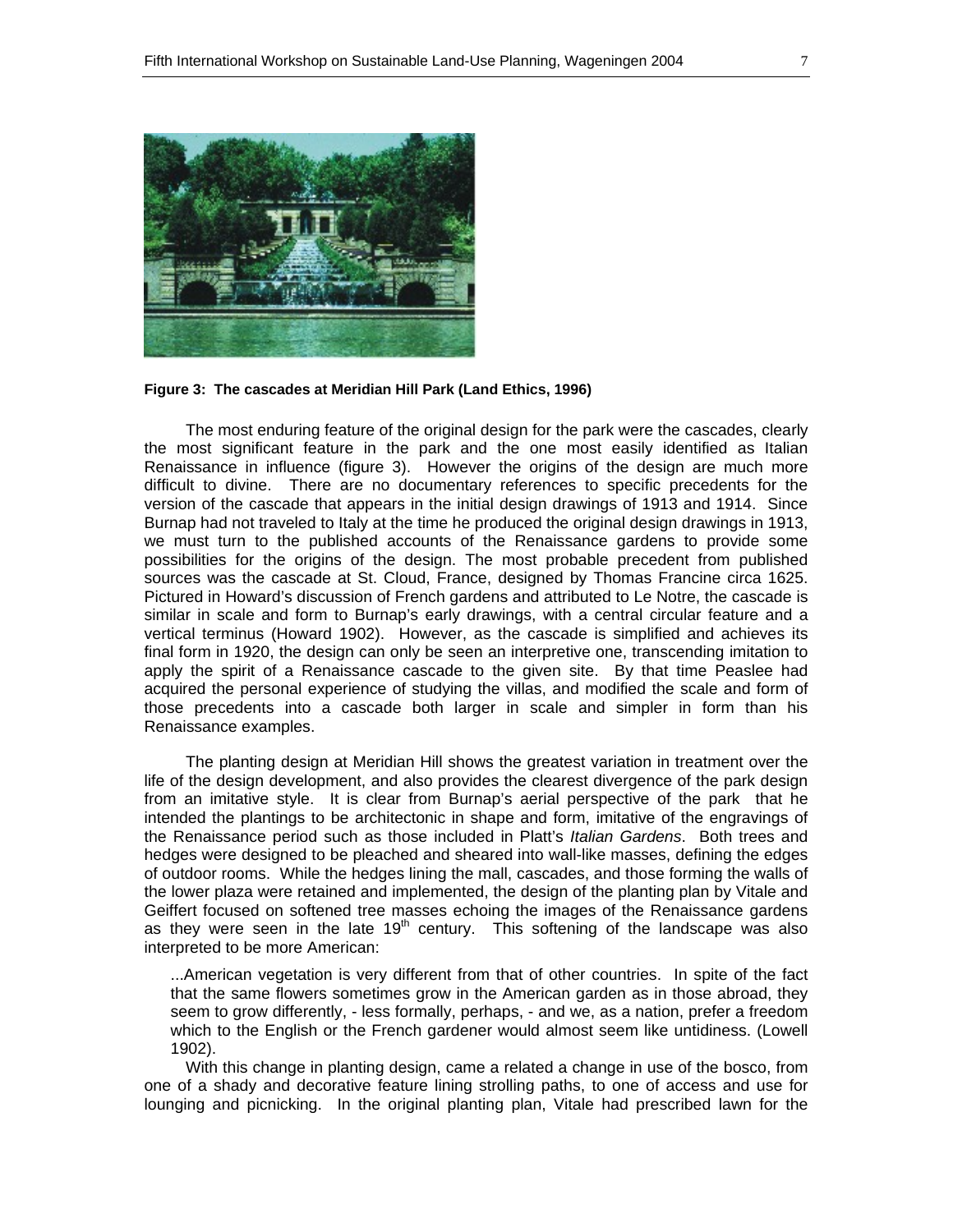

**Figure 3: The cascades at Meridian Hill Park (Land Ethics, 1996)** 

The most enduring feature of the original design for the park were the cascades, clearly the most significant feature in the park and the one most easily identified as Italian Renaissance in influence (figure 3). However the origins of the design are much more difficult to divine. There are no documentary references to specific precedents for the version of the cascade that appears in the initial design drawings of 1913 and 1914. Since Burnap had not traveled to Italy at the time he produced the original design drawings in 1913, we must turn to the published accounts of the Renaissance gardens to provide some possibilities for the origins of the design. The most probable precedent from published sources was the cascade at St. Cloud, France, designed by Thomas Francine circa 1625. Pictured in Howard's discussion of French gardens and attributed to Le Notre, the cascade is similar in scale and form to Burnap's early drawings, with a central circular feature and a vertical terminus (Howard 1902). However, as the cascade is simplified and achieves its final form in 1920, the design can only be seen an interpretive one, transcending imitation to apply the spirit of a Renaissance cascade to the given site. By that time Peaslee had acquired the personal experience of studying the villas, and modified the scale and form of those precedents into a cascade both larger in scale and simpler in form than his Renaissance examples.

 The planting design at Meridian Hill shows the greatest variation in treatment over the life of the design development, and also provides the clearest divergence of the park design from an imitative style. It is clear from Burnap's aerial perspective of the park that he intended the plantings to be architectonic in shape and form, imitative of the engravings of the Renaissance period such as those included in Platt's *Italian Gardens*. Both trees and hedges were designed to be pleached and sheared into wall-like masses, defining the edges of outdoor rooms. While the hedges lining the mall, cascades, and those forming the walls of the lower plaza were retained and implemented, the design of the planting plan by Vitale and Geiffert focused on softened tree masses echoing the images of the Renaissance gardens as they were seen in the late  $19<sup>th</sup>$  century. This softening of the landscape was also interpreted to be more American:

...American vegetation is very different from that of other countries. In spite of the fact that the same flowers sometimes grow in the American garden as in those abroad, they seem to grow differently, - less formally, perhaps, - and we, as a nation, prefer a freedom which to the English or the French gardener would almost seem like untidiness. (Lowell 1902).

 With this change in planting design, came a related a change in use of the bosco, from one of a shady and decorative feature lining strolling paths, to one of access and use for lounging and picnicking. In the original planting plan, Vitale had prescribed lawn for the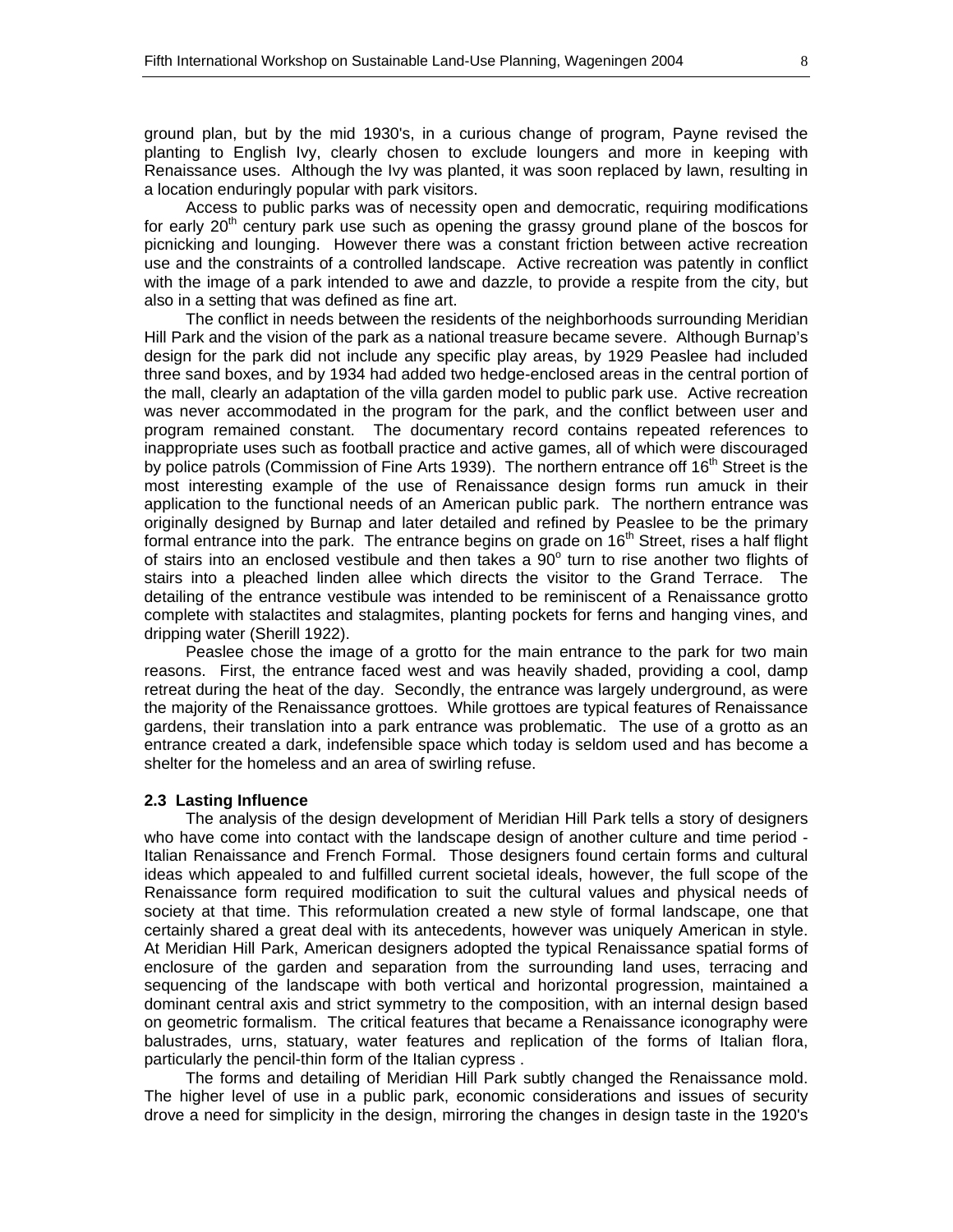ground plan, but by the mid 1930's, in a curious change of program, Payne revised the planting to English Ivy, clearly chosen to exclude loungers and more in keeping with Renaissance uses. Although the Ivy was planted, it was soon replaced by lawn, resulting in a location enduringly popular with park visitors.

 Access to public parks was of necessity open and democratic, requiring modifications for early  $20<sup>th</sup>$  century park use such as opening the grassy ground plane of the boscos for picnicking and lounging. However there was a constant friction between active recreation use and the constraints of a controlled landscape. Active recreation was patently in conflict with the image of a park intended to awe and dazzle, to provide a respite from the city, but also in a setting that was defined as fine art.

 The conflict in needs between the residents of the neighborhoods surrounding Meridian Hill Park and the vision of the park as a national treasure became severe. Although Burnap's design for the park did not include any specific play areas, by 1929 Peaslee had included three sand boxes, and by 1934 had added two hedge-enclosed areas in the central portion of the mall, clearly an adaptation of the villa garden model to public park use. Active recreation was never accommodated in the program for the park, and the conflict between user and program remained constant. The documentary record contains repeated references to inappropriate uses such as football practice and active games, all of which were discouraged by police patrols (Commission of Fine Arts 1939). The northern entrance off  $16<sup>th</sup>$  Street is the most interesting example of the use of Renaissance design forms run amuck in their application to the functional needs of an American public park. The northern entrance was originally designed by Burnap and later detailed and refined by Peaslee to be the primary formal entrance into the park. The entrance begins on grade on 16<sup>th</sup> Street, rises a half flight of stairs into an enclosed vestibule and then takes a  $90^{\circ}$  turn to rise another two flights of stairs into a pleached linden allee which directs the visitor to the Grand Terrace. The detailing of the entrance vestibule was intended to be reminiscent of a Renaissance grotto complete with stalactites and stalagmites, planting pockets for ferns and hanging vines, and dripping water (Sherill 1922).

 Peaslee chose the image of a grotto for the main entrance to the park for two main reasons. First, the entrance faced west and was heavily shaded, providing a cool, damp retreat during the heat of the day. Secondly, the entrance was largely underground, as were the majority of the Renaissance grottoes. While grottoes are typical features of Renaissance gardens, their translation into a park entrance was problematic. The use of a grotto as an entrance created a dark, indefensible space which today is seldom used and has become a shelter for the homeless and an area of swirling refuse.

#### **2.3 Lasting Influence**

 The analysis of the design development of Meridian Hill Park tells a story of designers who have come into contact with the landscape design of another culture and time period - Italian Renaissance and French Formal. Those designers found certain forms and cultural ideas which appealed to and fulfilled current societal ideals, however, the full scope of the Renaissance form required modification to suit the cultural values and physical needs of society at that time. This reformulation created a new style of formal landscape, one that certainly shared a great deal with its antecedents, however was uniquely American in style. At Meridian Hill Park, American designers adopted the typical Renaissance spatial forms of enclosure of the garden and separation from the surrounding land uses, terracing and sequencing of the landscape with both vertical and horizontal progression, maintained a dominant central axis and strict symmetry to the composition, with an internal design based on geometric formalism. The critical features that became a Renaissance iconography were balustrades, urns, statuary, water features and replication of the forms of Italian flora, particularly the pencil-thin form of the Italian cypress .

 The forms and detailing of Meridian Hill Park subtly changed the Renaissance mold. The higher level of use in a public park, economic considerations and issues of security drove a need for simplicity in the design, mirroring the changes in design taste in the 1920's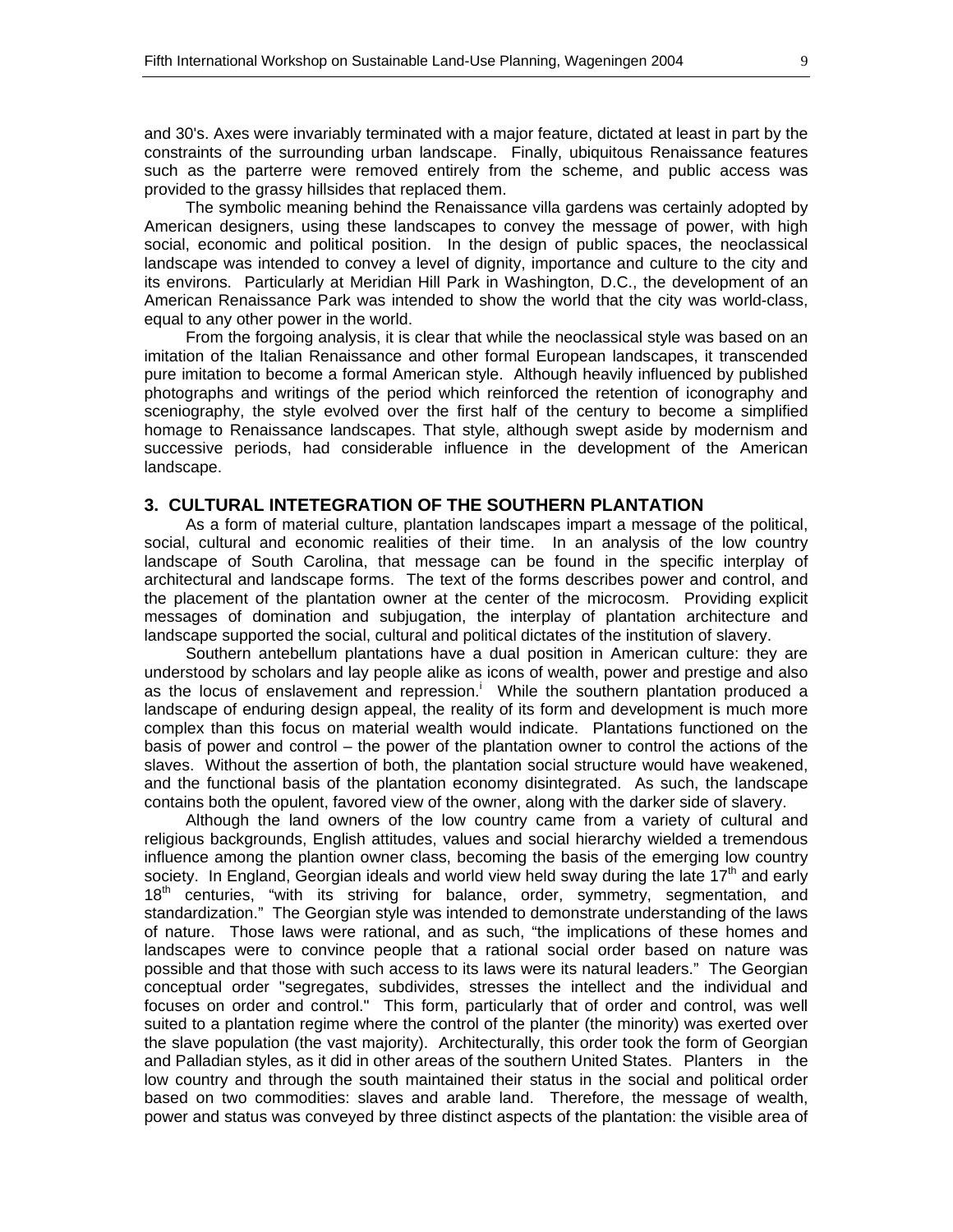and 30's. Axes were invariably terminated with a major feature, dictated at least in part by the constraints of the surrounding urban landscape. Finally, ubiquitous Renaissance features such as the parterre were removed entirely from the scheme, and public access was provided to the grassy hillsides that replaced them.

 The symbolic meaning behind the Renaissance villa gardens was certainly adopted by American designers, using these landscapes to convey the message of power, with high social, economic and political position. In the design of public spaces, the neoclassical landscape was intended to convey a level of dignity, importance and culture to the city and its environs. Particularly at Meridian Hill Park in Washington, D.C., the development of an American Renaissance Park was intended to show the world that the city was world-class, equal to any other power in the world.

 From the forgoing analysis, it is clear that while the neoclassical style was based on an imitation of the Italian Renaissance and other formal European landscapes, it transcended pure imitation to become a formal American style. Although heavily influenced by published photographs and writings of the period which reinforced the retention of iconography and sceniography, the style evolved over the first half of the century to become a simplified homage to Renaissance landscapes. That style, although swept aside by modernism and successive periods, had considerable influence in the development of the American landscape.

#### **3. CULTURAL INTETEGRATION OF THE SOUTHERN PLANTATION**

 As a form of material culture, plantation landscapes impart a message of the political, social, cultural and economic realities of their time. In an analysis of the low country landscape of South Carolina, that message can be found in the specific interplay of architectural and landscape forms. The text of the forms describes power and control, and the placement of the plantation owner at the center of the microcosm. Providing explicit messages of domination and subjugation, the interplay of plantation architecture and landscape supported the social, cultural and political dictates of the institution of slavery.

 Southern antebellum plantations have a dual position in American culture: they are understood by scholars and lay people alike as icons of wealth, power and prestige and also as the locus of enslavement and repression.<sup>1</sup> While the southern plantation produced a landscape of enduring design appeal, the reality of its form and development is much more complex than this focus on material wealth would indicate. Plantations functioned on the basis of power and control – the power of the plantation owner to control the actions of the slaves. Without the assertion of both, the plantation social structure would have weakened, and the functional basis of the plantation economy disintegrated. As such, the landscape contains both the opulent, favored view of the owner, along with the darker side of slavery.

 Although the land owners of the low country came from a variety of cultural and religious backgrounds, English attitudes, values and social hierarchy wielded a tremendous influence among the plantion owner class, becoming the basis of the emerging low country society. In England, Georgian ideals and world view held sway during the late  $17<sup>th</sup>$  and early 18<sup>th</sup> centuries, "with its striving for balance, order, symmetry, segmentation, and standardization." The Georgian style was intended to demonstrate understanding of the laws of nature. Those laws were rational, and as such, "the implications of these homes and landscapes were to convince people that a rational social order based on nature was possible and that those with such access to its laws were its natural leaders." The Georgian conceptual order "segregates, subdivides, stresses the intellect and the individual and focuses on order and control." This form, particularly that of order and control, was well suited to a plantation regime where the control of the planter (the minority) was exerted over the slave population (the vast majority). Architecturally, this order took the form of Georgian and Palladian styles, as it did in other areas of the southern United States. Planters in the low country and through the south maintained their status in the social and political order based on two commodities: slaves and arable land. Therefore, the message of wealth, power and status was conveyed by three distinct aspects of the plantation: the visible area of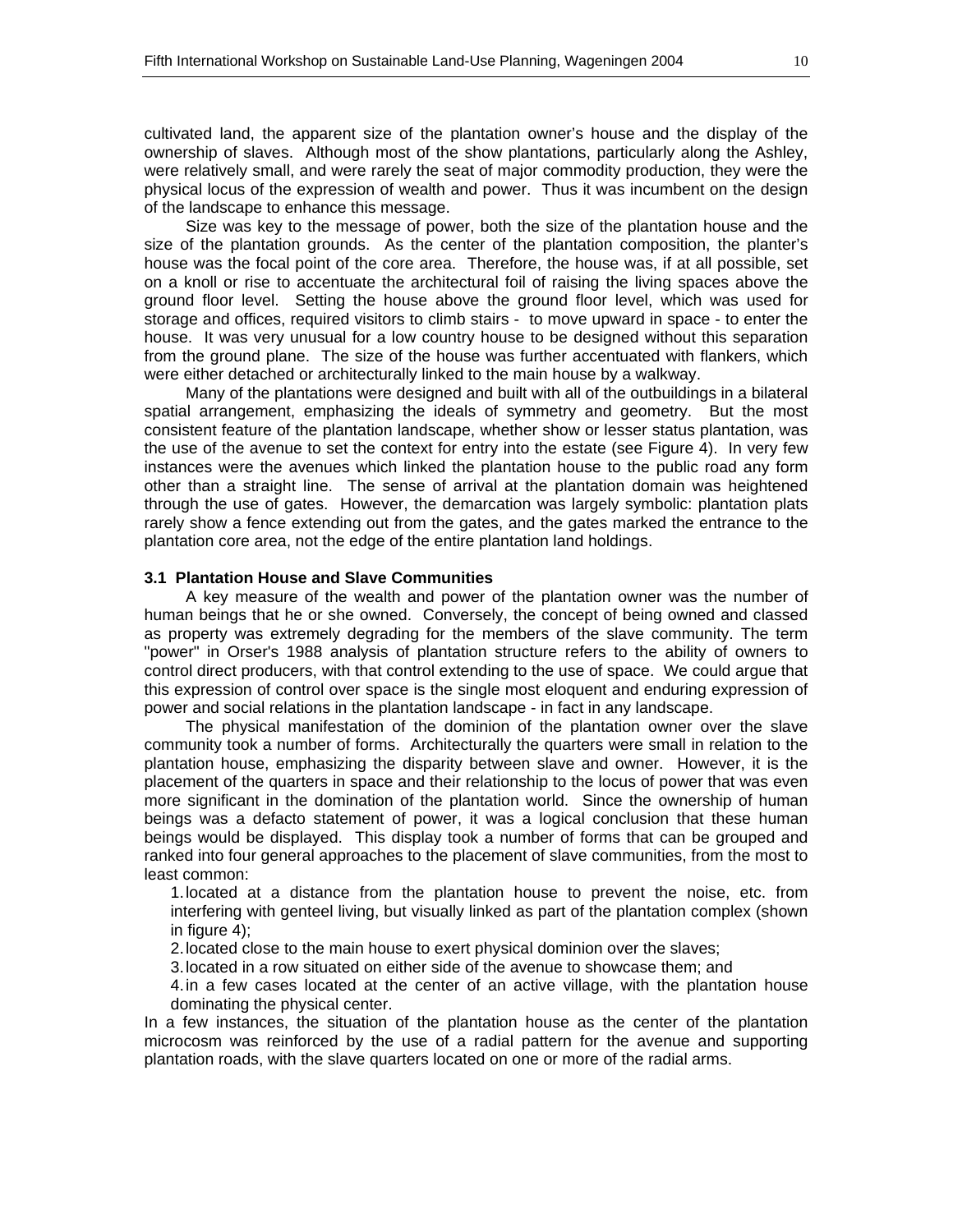cultivated land, the apparent size of the plantation owner's house and the display of the ownership of slaves. Although most of the show plantations, particularly along the Ashley, were relatively small, and were rarely the seat of major commodity production, they were the physical locus of the expression of wealth and power. Thus it was incumbent on the design of the landscape to enhance this message.

 Size was key to the message of power, both the size of the plantation house and the size of the plantation grounds. As the center of the plantation composition, the planter's house was the focal point of the core area. Therefore, the house was, if at all possible, set on a knoll or rise to accentuate the architectural foil of raising the living spaces above the ground floor level. Setting the house above the ground floor level, which was used for storage and offices, required visitors to climb stairs - to move upward in space - to enter the house. It was very unusual for a low country house to be designed without this separation from the ground plane. The size of the house was further accentuated with flankers, which were either detached or architecturally linked to the main house by a walkway.

 Many of the plantations were designed and built with all of the outbuildings in a bilateral spatial arrangement, emphasizing the ideals of symmetry and geometry. But the most consistent feature of the plantation landscape, whether show or lesser status plantation, was the use of the avenue to set the context for entry into the estate (see Figure 4). In very few instances were the avenues which linked the plantation house to the public road any form other than a straight line. The sense of arrival at the plantation domain was heightened through the use of gates. However, the demarcation was largely symbolic: plantation plats rarely show a fence extending out from the gates, and the gates marked the entrance to the plantation core area, not the edge of the entire plantation land holdings.

#### **3.1 Plantation House and Slave Communities**

 A key measure of the wealth and power of the plantation owner was the number of human beings that he or she owned. Conversely, the concept of being owned and classed as property was extremely degrading for the members of the slave community. The term "power" in Orser's 1988 analysis of plantation structure refers to the ability of owners to control direct producers, with that control extending to the use of space. We could argue that this expression of control over space is the single most eloquent and enduring expression of power and social relations in the plantation landscape - in fact in any landscape.

 The physical manifestation of the dominion of the plantation owner over the slave community took a number of forms. Architecturally the quarters were small in relation to the plantation house, emphasizing the disparity between slave and owner. However, it is the placement of the quarters in space and their relationship to the locus of power that was even more significant in the domination of the plantation world. Since the ownership of human beings was a defacto statement of power, it was a logical conclusion that these human beings would be displayed. This display took a number of forms that can be grouped and ranked into four general approaches to the placement of slave communities, from the most to least common:

1. located at a distance from the plantation house to prevent the noise, etc. from interfering with genteel living, but visually linked as part of the plantation complex (shown in figure 4);

2. located close to the main house to exert physical dominion over the slaves;

3. located in a row situated on either side of the avenue to showcase them; and

4. in a few cases located at the center of an active village, with the plantation house dominating the physical center.

In a few instances, the situation of the plantation house as the center of the plantation microcosm was reinforced by the use of a radial pattern for the avenue and supporting plantation roads, with the slave quarters located on one or more of the radial arms.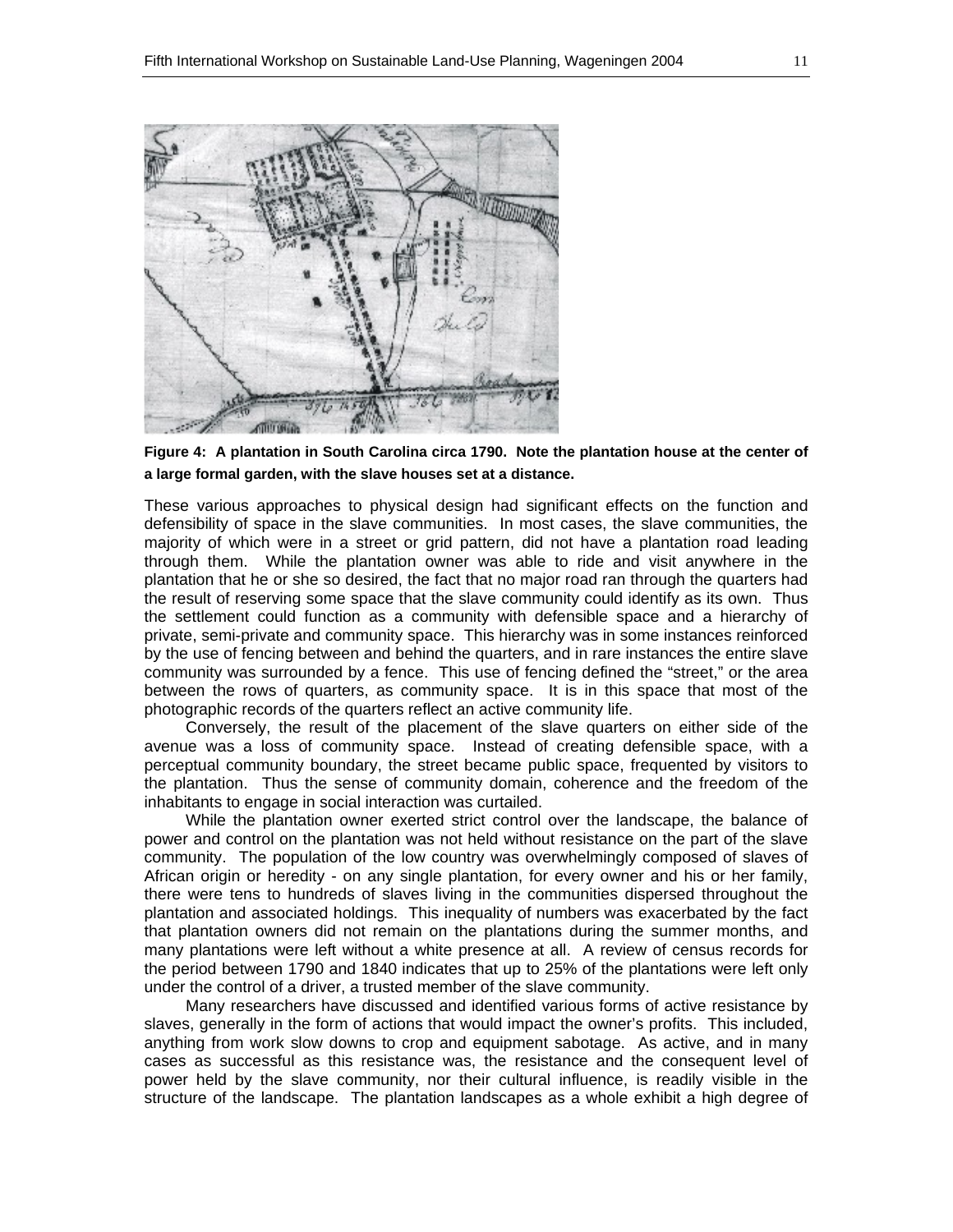



These various approaches to physical design had significant effects on the function and defensibility of space in the slave communities. In most cases, the slave communities, the majority of which were in a street or grid pattern, did not have a plantation road leading through them. While the plantation owner was able to ride and visit anywhere in the plantation that he or she so desired, the fact that no major road ran through the quarters had the result of reserving some space that the slave community could identify as its own. Thus the settlement could function as a community with defensible space and a hierarchy of private, semi-private and community space. This hierarchy was in some instances reinforced by the use of fencing between and behind the quarters, and in rare instances the entire slave community was surrounded by a fence. This use of fencing defined the "street," or the area between the rows of quarters, as community space. It is in this space that most of the photographic records of the quarters reflect an active community life.

 Conversely, the result of the placement of the slave quarters on either side of the avenue was a loss of community space. Instead of creating defensible space, with a perceptual community boundary, the street became public space, frequented by visitors to the plantation. Thus the sense of community domain, coherence and the freedom of the inhabitants to engage in social interaction was curtailed.

 While the plantation owner exerted strict control over the landscape, the balance of power and control on the plantation was not held without resistance on the part of the slave community. The population of the low country was overwhelmingly composed of slaves of African origin or heredity - on any single plantation, for every owner and his or her family, there were tens to hundreds of slaves living in the communities dispersed throughout the plantation and associated holdings. This inequality of numbers was exacerbated by the fact that plantation owners did not remain on the plantations during the summer months, and many plantations were left without a white presence at all. A review of census records for the period between 1790 and 1840 indicates that up to 25% of the plantations were left only under the control of a driver, a trusted member of the slave community.

 Many researchers have discussed and identified various forms of active resistance by slaves, generally in the form of actions that would impact the owner's profits. This included, anything from work slow downs to crop and equipment sabotage. As active, and in many cases as successful as this resistance was, the resistance and the consequent level of power held by the slave community, nor their cultural influence, is readily visible in the structure of the landscape. The plantation landscapes as a whole exhibit a high degree of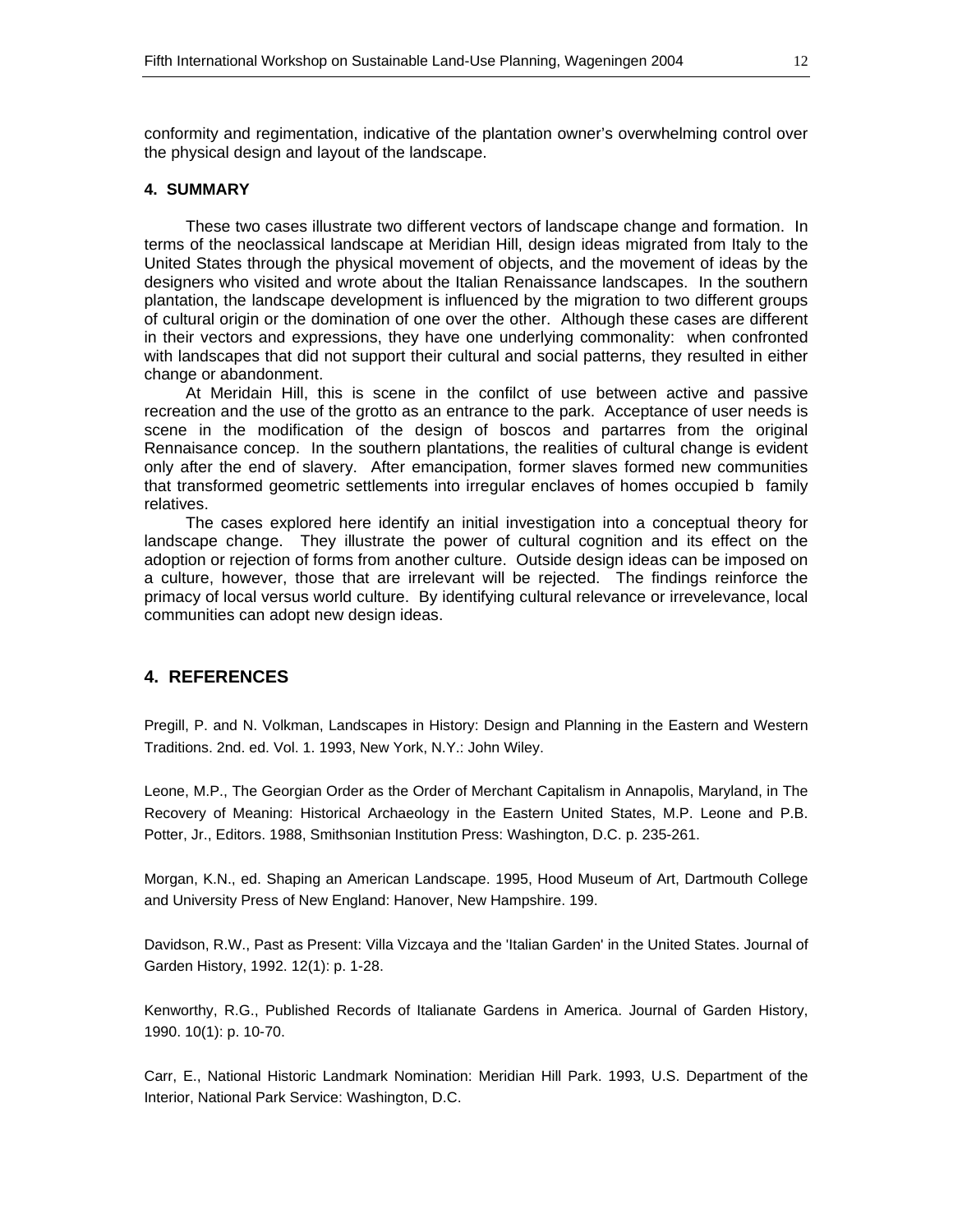conformity and regimentation, indicative of the plantation owner's overwhelming control over the physical design and layout of the landscape.

#### **4. SUMMARY**

 These two cases illustrate two different vectors of landscape change and formation. In terms of the neoclassical landscape at Meridian Hill, design ideas migrated from Italy to the United States through the physical movement of objects, and the movement of ideas by the designers who visited and wrote about the Italian Renaissance landscapes. In the southern plantation, the landscape development is influenced by the migration to two different groups of cultural origin or the domination of one over the other. Although these cases are different in their vectors and expressions, they have one underlying commonality: when confronted with landscapes that did not support their cultural and social patterns, they resulted in either change or abandonment.

 At Meridain Hill, this is scene in the confilct of use between active and passive recreation and the use of the grotto as an entrance to the park. Acceptance of user needs is scene in the modification of the design of boscos and partarres from the original Rennaisance concep. In the southern plantations, the realities of cultural change is evident only after the end of slavery. After emancipation, former slaves formed new communities that transformed geometric settlements into irregular enclaves of homes occupied b family relatives.

 The cases explored here identify an initial investigation into a conceptual theory for landscape change. They illustrate the power of cultural cognition and its effect on the adoption or rejection of forms from another culture. Outside design ideas can be imposed on a culture, however, those that are irrelevant will be rejected. The findings reinforce the primacy of local versus world culture. By identifying cultural relevance or irrevelevance, local communities can adopt new design ideas.

#### **4. REFERENCES**

Pregill, P. and N. Volkman, Landscapes in History: Design and Planning in the Eastern and Western Traditions. 2nd. ed. Vol. 1. 1993, New York, N.Y.: John Wiley.

Leone, M.P., The Georgian Order as the Order of Merchant Capitalism in Annapolis, Maryland, in The Recovery of Meaning: Historical Archaeology in the Eastern United States, M.P. Leone and P.B. Potter, Jr., Editors. 1988, Smithsonian Institution Press: Washington, D.C. p. 235-261.

Morgan, K.N., ed. Shaping an American Landscape. 1995, Hood Museum of Art, Dartmouth College and University Press of New England: Hanover, New Hampshire. 199.

Davidson, R.W., Past as Present: Villa Vizcaya and the 'Italian Garden' in the United States. Journal of Garden History, 1992. 12(1): p. 1-28.

Kenworthy, R.G., Published Records of Italianate Gardens in America. Journal of Garden History, 1990. 10(1): p. 10-70.

Carr, E., National Historic Landmark Nomination: Meridian Hill Park. 1993, U.S. Department of the Interior, National Park Service: Washington, D.C.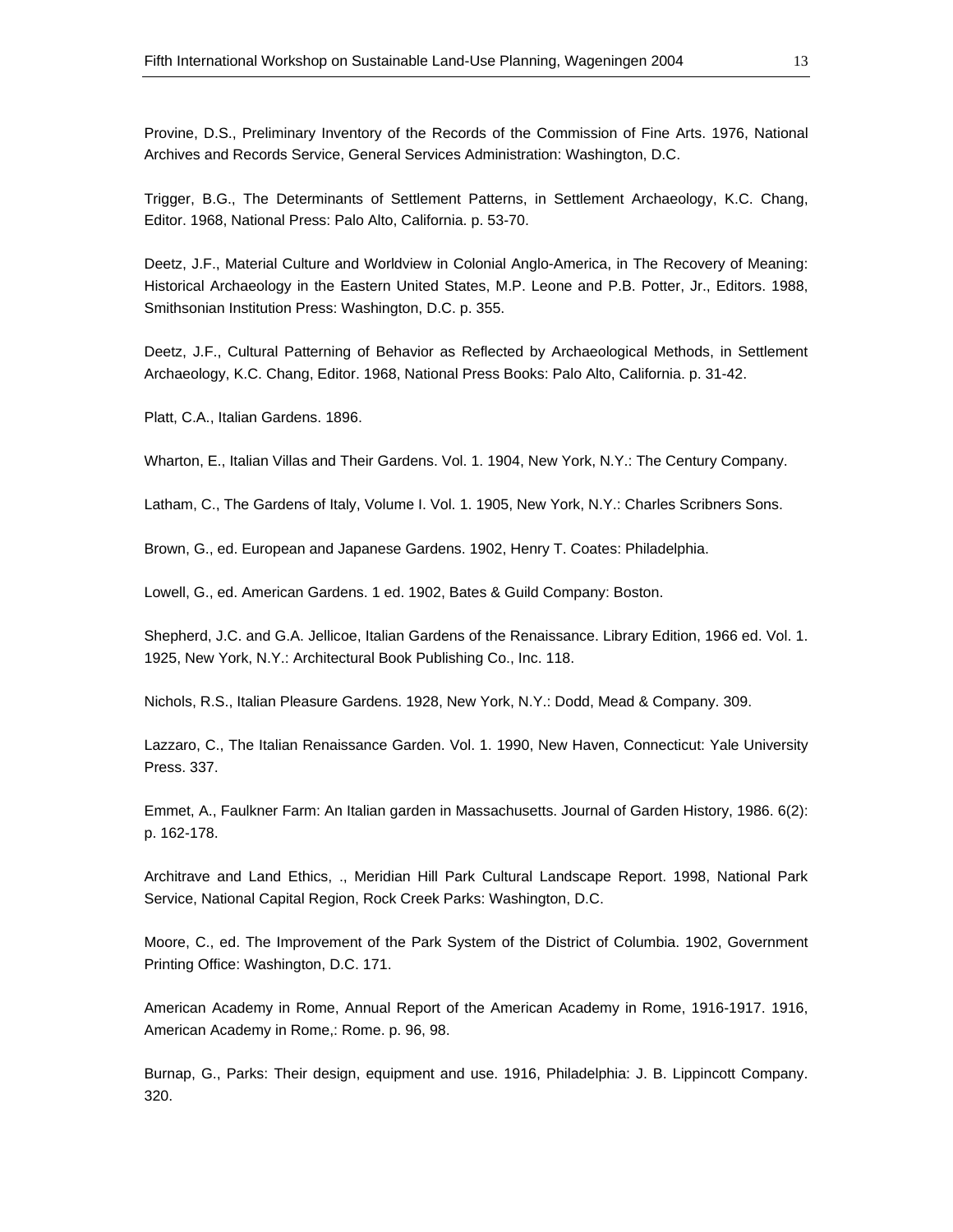Provine, D.S., Preliminary Inventory of the Records of the Commission of Fine Arts. 1976, National Archives and Records Service, General Services Administration: Washington, D.C.

Trigger, B.G., The Determinants of Settlement Patterns, in Settlement Archaeology, K.C. Chang, Editor. 1968, National Press: Palo Alto, California. p. 53-70.

Deetz, J.F., Material Culture and Worldview in Colonial Anglo-America, in The Recovery of Meaning: Historical Archaeology in the Eastern United States, M.P. Leone and P.B. Potter, Jr., Editors. 1988, Smithsonian Institution Press: Washington, D.C. p. 355.

Deetz, J.F., Cultural Patterning of Behavior as Reflected by Archaeological Methods, in Settlement Archaeology, K.C. Chang, Editor. 1968, National Press Books: Palo Alto, California. p. 31-42.

Platt, C.A., Italian Gardens. 1896.

Wharton, E., Italian Villas and Their Gardens. Vol. 1. 1904, New York, N.Y.: The Century Company.

Latham, C., The Gardens of Italy, Volume I. Vol. 1. 1905, New York, N.Y.: Charles Scribners Sons.

Brown, G., ed. European and Japanese Gardens. 1902, Henry T. Coates: Philadelphia.

Lowell, G., ed. American Gardens. 1 ed. 1902, Bates & Guild Company: Boston.

Shepherd, J.C. and G.A. Jellicoe, Italian Gardens of the Renaissance. Library Edition, 1966 ed. Vol. 1. 1925, New York, N.Y.: Architectural Book Publishing Co., Inc. 118.

Nichols, R.S., Italian Pleasure Gardens. 1928, New York, N.Y.: Dodd, Mead & Company. 309.

Lazzaro, C., The Italian Renaissance Garden. Vol. 1. 1990, New Haven, Connecticut: Yale University Press. 337.

Emmet, A., Faulkner Farm: An Italian garden in Massachusetts. Journal of Garden History, 1986. 6(2): p. 162-178.

Architrave and Land Ethics, ., Meridian Hill Park Cultural Landscape Report. 1998, National Park Service, National Capital Region, Rock Creek Parks: Washington, D.C.

Moore, C., ed. The Improvement of the Park System of the District of Columbia. 1902, Government Printing Office: Washington, D.C. 171.

American Academy in Rome, Annual Report of the American Academy in Rome, 1916-1917. 1916, American Academy in Rome,: Rome. p. 96, 98.

Burnap, G., Parks: Their design, equipment and use. 1916, Philadelphia: J. B. Lippincott Company. 320.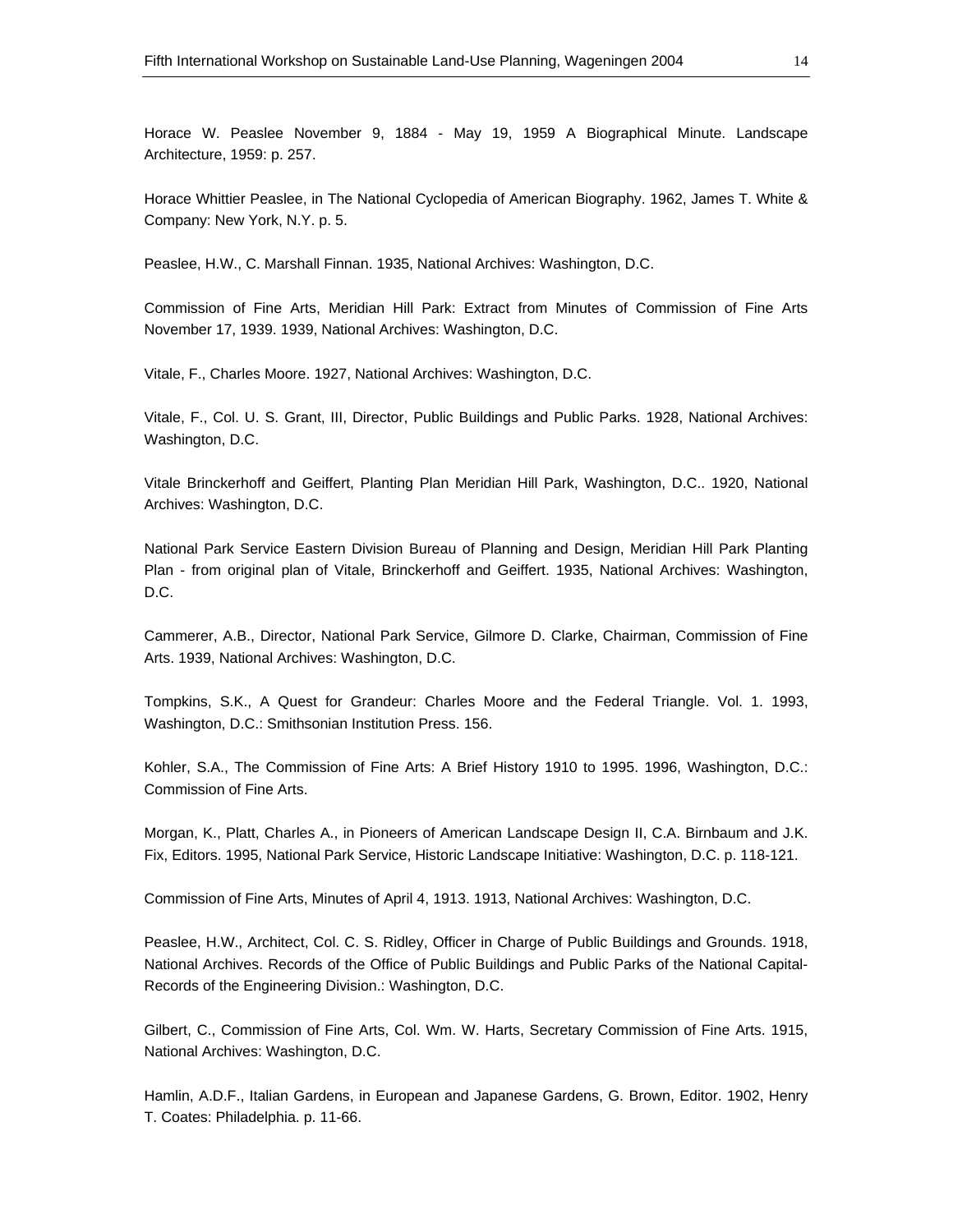Horace W. Peaslee November 9, 1884 - May 19, 1959 A Biographical Minute. Landscape Architecture, 1959: p. 257.

Horace Whittier Peaslee, in The National Cyclopedia of American Biography. 1962, James T. White & Company: New York, N.Y. p. 5.

Peaslee, H.W., C. Marshall Finnan. 1935, National Archives: Washington, D.C.

Commission of Fine Arts, Meridian Hill Park: Extract from Minutes of Commission of Fine Arts November 17, 1939. 1939, National Archives: Washington, D.C.

Vitale, F., Charles Moore. 1927, National Archives: Washington, D.C.

Vitale, F., Col. U. S. Grant, III, Director, Public Buildings and Public Parks. 1928, National Archives: Washington, D.C.

Vitale Brinckerhoff and Geiffert, Planting Plan Meridian Hill Park, Washington, D.C.. 1920, National Archives: Washington, D.C.

National Park Service Eastern Division Bureau of Planning and Design, Meridian Hill Park Planting Plan - from original plan of Vitale, Brinckerhoff and Geiffert. 1935, National Archives: Washington, D.C.

Cammerer, A.B., Director, National Park Service, Gilmore D. Clarke, Chairman, Commission of Fine Arts. 1939, National Archives: Washington, D.C.

Tompkins, S.K., A Quest for Grandeur: Charles Moore and the Federal Triangle. Vol. 1. 1993, Washington, D.C.: Smithsonian Institution Press. 156.

Kohler, S.A., The Commission of Fine Arts: A Brief History 1910 to 1995. 1996, Washington, D.C.: Commission of Fine Arts.

Morgan, K., Platt, Charles A., in Pioneers of American Landscape Design II, C.A. Birnbaum and J.K. Fix, Editors. 1995, National Park Service, Historic Landscape Initiative: Washington, D.C. p. 118-121.

Commission of Fine Arts, Minutes of April 4, 1913. 1913, National Archives: Washington, D.C.

Peaslee, H.W., Architect, Col. C. S. Ridley, Officer in Charge of Public Buildings and Grounds. 1918, National Archives. Records of the Office of Public Buildings and Public Parks of the National Capital-Records of the Engineering Division.: Washington, D.C.

Gilbert, C., Commission of Fine Arts, Col. Wm. W. Harts, Secretary Commission of Fine Arts. 1915, National Archives: Washington, D.C.

Hamlin, A.D.F., Italian Gardens, in European and Japanese Gardens, G. Brown, Editor. 1902, Henry T. Coates: Philadelphia. p. 11-66.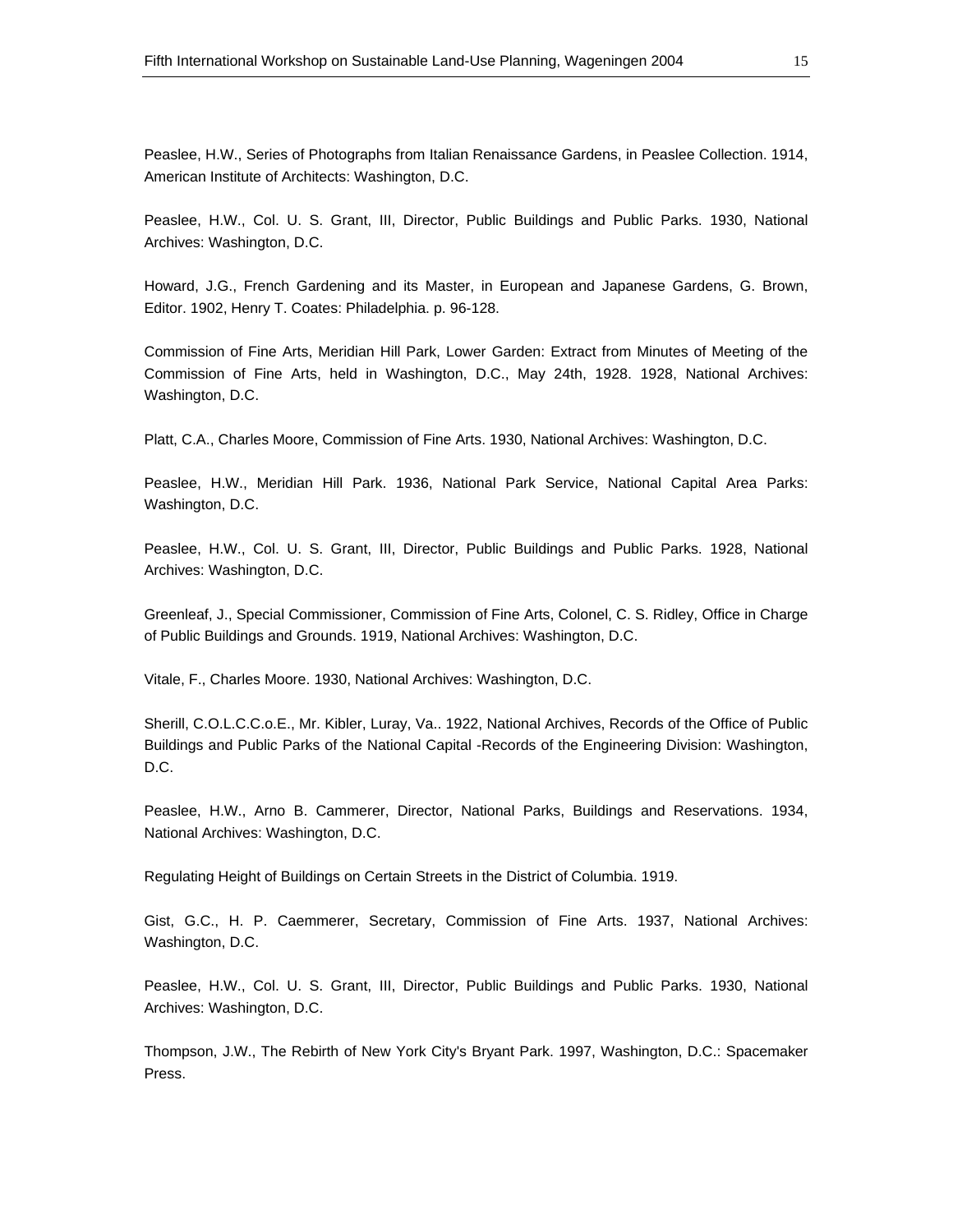Peaslee, H.W., Series of Photographs from Italian Renaissance Gardens, in Peaslee Collection. 1914, American Institute of Architects: Washington, D.C.

Peaslee, H.W., Col. U. S. Grant, III, Director, Public Buildings and Public Parks. 1930, National Archives: Washington, D.C.

Howard, J.G., French Gardening and its Master, in European and Japanese Gardens, G. Brown, Editor. 1902, Henry T. Coates: Philadelphia. p. 96-128.

Commission of Fine Arts, Meridian Hill Park, Lower Garden: Extract from Minutes of Meeting of the Commission of Fine Arts, held in Washington, D.C., May 24th, 1928. 1928, National Archives: Washington, D.C.

Platt, C.A., Charles Moore, Commission of Fine Arts. 1930, National Archives: Washington, D.C.

Peaslee, H.W., Meridian Hill Park. 1936, National Park Service, National Capital Area Parks: Washington, D.C.

Peaslee, H.W., Col. U. S. Grant, III, Director, Public Buildings and Public Parks. 1928, National Archives: Washington, D.C.

Greenleaf, J., Special Commissioner, Commission of Fine Arts, Colonel, C. S. Ridley, Office in Charge of Public Buildings and Grounds. 1919, National Archives: Washington, D.C.

Vitale, F., Charles Moore. 1930, National Archives: Washington, D.C.

Sherill, C.O.L.C.C.o.E., Mr. Kibler, Luray, Va.. 1922, National Archives, Records of the Office of Public Buildings and Public Parks of the National Capital -Records of the Engineering Division: Washington, D.C.

Peaslee, H.W., Arno B. Cammerer, Director, National Parks, Buildings and Reservations. 1934, National Archives: Washington, D.C.

Regulating Height of Buildings on Certain Streets in the District of Columbia. 1919.

Gist, G.C., H. P. Caemmerer, Secretary, Commission of Fine Arts. 1937, National Archives: Washington, D.C.

Peaslee, H.W., Col. U. S. Grant, III, Director, Public Buildings and Public Parks. 1930, National Archives: Washington, D.C.

Thompson, J.W., The Rebirth of New York City's Bryant Park. 1997, Washington, D.C.: Spacemaker Press.